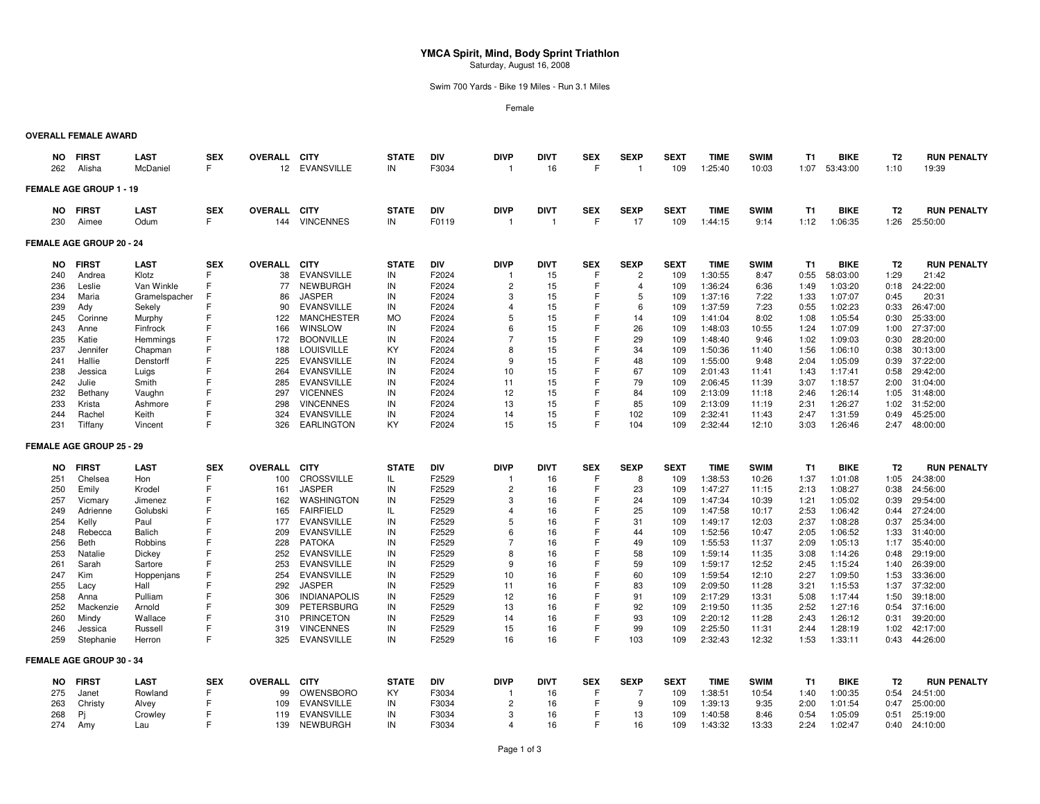# **YMCA Spirit, Mind, Body Sprint Triathlon**Saturday, August 16, 2008

Swim 700 Yards - Bike 19 Miles - Run 3.1 Miles

Female

## **OVERALL FEMALE AWARD**

| NO.<br>262 | <b>FIRST</b><br>Alisha          | <b>LAST</b><br>McDaniel | <b>SEX</b><br>F | <b>OVERALL</b><br>12 | <b>CITY</b><br><b>EVANSVILLE</b> | <b>STATE</b><br>IN | <b>DIV</b><br>F3034 | <b>DIVP</b><br>$\overline{1}$ | <b>DIVT</b><br>16 | <b>SEX</b><br>F | <b>SEXP</b><br>$\overline{1}$ | <b>SEXT</b><br>109 | <b>TIME</b><br>1:25:40 | <b>SWIM</b><br>10:03 | T1<br>1:07     | <b>BIKE</b><br>53:43:00 | T <sub>2</sub><br>1:10 | <b>RUN PENALTY</b><br>19:39 |
|------------|---------------------------------|-------------------------|-----------------|----------------------|----------------------------------|--------------------|---------------------|-------------------------------|-------------------|-----------------|-------------------------------|--------------------|------------------------|----------------------|----------------|-------------------------|------------------------|-----------------------------|
|            | FEMALE AGE GROUP 1 - 19         |                         |                 |                      |                                  |                    |                     |                               |                   |                 |                               |                    |                        |                      |                |                         |                        |                             |
| NO.        | <b>FIRST</b>                    | <b>LAST</b>             | <b>SEX</b>      | OVERALL CITY         |                                  | <b>STATE</b>       | DIV                 | <b>DIVP</b>                   | <b>DIVT</b>       | <b>SEX</b>      | <b>SEXP</b>                   | <b>SEXT</b>        | <b>TIME</b>            | <b>SWIM</b>          | T1             | <b>BIKE</b>             | T <sub>2</sub>         | <b>RUN PENALTY</b>          |
| 230        | Aimee                           | Odum                    | F               | 144                  | <b>VINCENNES</b>                 | IN                 | F0119               | $\overline{1}$                | $\mathbf{1}$      | E               | 17                            | 109                | 1:44:15                | 9:14                 | 1:12           | 1:06:35                 | 1:26                   | 25:50:00                    |
|            | FEMALE AGE GROUP 20 - 24        |                         |                 |                      |                                  |                    |                     |                               |                   |                 |                               |                    |                        |                      |                |                         |                        |                             |
| NO         | <b>FIRST</b>                    | <b>LAST</b>             | <b>SEX</b>      | <b>OVERALL</b>       | <b>CITY</b>                      | <b>STATE</b>       | DIV                 | <b>DIVP</b>                   | <b>DIVT</b>       | <b>SEX</b>      | <b>SEXP</b>                   | <b>SEXT</b>        | <b>TIME</b>            | <b>SWIM</b>          | T <sub>1</sub> | <b>BIKE</b>             | T <sub>2</sub>         | <b>RUN PENALTY</b>          |
| 240        | Andrea                          | Klotz                   | F               | 38                   | <b>EVANSVILLE</b>                | IN                 | F2024               | -1                            | 15                | F               | $\overline{2}$                | 109                | 1:30:55                | 8:47                 | 0:55           | 58:03:00                | 1:29                   | 21:42                       |
| 236        | Leslie                          | Van Winkle              | F               | 77                   | <b>NEWBURGH</b>                  | IN                 | F2024               | $\overline{2}$                | 15                |                 | 4                             | 109                | 1:36:24                | 6:36                 | 1:49           | 1:03:20                 | 0:18                   | 24:22:00                    |
| 234        | Maria                           | Gramelspacher           |                 | 86                   | <b>JASPER</b>                    | IN                 | F2024               | 3                             | 15                | F               | 5                             | 109                | 1:37:16                | 7:22                 | 1:33           | 1:07:07                 | 0:45                   | 20:31                       |
| 239        | Ady                             | Sekely                  |                 | 90                   | <b>EVANSVILLE</b>                | IN                 | F2024               | 4                             | 15                |                 | 6                             | 109                | 1:37:59                | 7:23                 | 0:55           | 1:02:23                 | 0:33                   | 26:47:00                    |
| 245        | Corinne                         | Murphy                  |                 | 122                  | <b>MANCHESTER</b>                | <b>MO</b>          | F2024               | 5                             | 15                |                 | 14                            | 109                | 1:41:04                | 8:02                 | 1:08           | 1:05:54                 | 0:30                   | 25:33:00                    |
| 243        | Anne                            | Finfrock                |                 | 166                  | WINSLOW                          | IN                 | F2024               | 6                             | 15                |                 | 26                            | 109                | 1:48:03                | 10:55                | 1:24           | 1:07:09                 | 1:00                   | 27:37:00                    |
| 235        | Katie                           | Hemmings                |                 | 172                  | <b>BOONVILLE</b>                 | IN                 | F2024               | $\overline{7}$                | 15                |                 | 29                            | 109                | 1:48:40                | 9:46                 | 1:02           | 1:09:03                 | 0:30                   | 28:20:00                    |
| 237        | Jennifer                        | Chapman                 |                 | 188                  | <b>LOUISVILLE</b>                | KY                 | F2024               | 8                             | 15                |                 | 34                            | 109                | 1:50:36                | 11:40                | 1:56           | 1:06:10                 | 0:38                   | 30:13:00                    |
| 241        | Hallie                          | Denstorff               |                 | 225                  | <b>EVANSVILLE</b>                | IN                 | F2024               | 9                             | 15                |                 | 48                            | 109                | 1:55:00                | 9:48                 | 2:04           | 1:05:09                 | 0:39                   | 37:22:00                    |
| 238        | Jessica                         | Luigs                   |                 | 264                  | <b>EVANSVILLE</b>                | IN                 | F2024               | 10                            | 15                |                 | 67                            | 109                | 2:01:43                | 11:41                | 1:43           | 1:17:41                 | 0:58                   | 29:42:00                    |
| 242        | Julie                           | Smith                   |                 | 285                  | <b>EVANSVILLE</b>                | IN                 | F2024               | 11                            | 15                |                 | 79                            | 109                | 2:06:45                | 11:39                | 3:07           | 1:18:57                 | 2:00                   | 31:04:00                    |
| 232        | Bethany                         | Vaughn                  |                 | 297                  | <b>VICENNES</b>                  | IN                 | F2024               | 12                            | 15                |                 | 84                            | 109                | 2:13:09                | 11:18                | 2:46           | 1:26:14                 | 1:05                   | 31:48:00                    |
| 233        | Krista                          | Ashmore                 |                 | 298                  | <b>VINCENNES</b>                 | IN                 | F2024               | 13                            | 15                |                 | 85                            | 109                | 2:13:09                | 11:19                | 2:31           | 1:26:27                 | 1:02                   | 31:52:00                    |
| 244        | Rachel                          | Keith                   |                 | 324                  | <b>EVANSVILLE</b>                | IN                 | F2024               | 14                            | 15                |                 | 102                           | 109                | 2:32:41                | 11:43                | 2:47           | 1:31:59                 | 0:49                   | 45:25:00                    |
| 231        | Tiffany                         | Vincent                 | F               | 326                  | <b>EARLINGTON</b>                | KY                 | F2024               | 15                            | 15                | F               | 104                           | 109                | 2:32:44                | 12:10                | 3:03           | 1:26:46                 | 2:47                   | 48:00:00                    |
|            | <b>FEMALE AGE GROUP 25 - 29</b> |                         |                 |                      |                                  |                    |                     |                               |                   |                 |                               |                    |                        |                      |                |                         |                        |                             |
| NO.        | <b>FIRST</b>                    | <b>LAST</b>             | <b>SEX</b>      | <b>OVERALL</b>       | <b>CITY</b>                      | <b>STATE</b>       | DIV                 | <b>DIVP</b>                   | <b>DIVT</b>       | <b>SEX</b>      | <b>SEXP</b>                   | <b>SEXT</b>        | <b>TIME</b>            | <b>SWIM</b>          | T1             | <b>BIKE</b>             | T <sub>2</sub>         | <b>RUN PENALTY</b>          |
| 251        | Chelsea                         | Hon                     |                 | 100                  | <b>CROSSVILLE</b>                | IL                 | F2529               | -1                            | 16                | F               | 8                             | 109                | 1:38:53                | 10:26                | 1:37           | 1:01:08                 | 1:05                   | 24:38:00                    |
| 250        | Emily                           | Krodel                  | F               | 161                  | <b>JASPER</b>                    | IN                 | F2529               | $\overline{2}$                | 16                | F               | 23                            | 109                | 1:47:27                | 11:15                | 2:13           | 1:08:27                 | 0:38                   | 24:56:00                    |
| 257        | Vicmary                         | Jimenez                 |                 | 162                  | WASHINGTON                       | IN                 | F2529               | 3                             | 16                |                 | 24                            | 109                | 1:47:34                | 10:39                | 1:21           | 1:05:02                 | 0:39                   | 29:54:00                    |
| 249        | Adrienne                        | Golubski                |                 | 165                  | <b>FAIRFIELD</b>                 | IL                 | F2529               | 4                             | 16                |                 | 25                            | 109                | 1:47:58                | 10:17                | 2:53           | 1:06:42                 | 0:44                   | 27:24:00                    |
| 254        | Kelly                           | Paul                    |                 | 177                  | <b>EVANSVILLE</b>                | IN                 | F2529               | 5                             | 16                |                 | 31                            | 109                | 1:49:17                | 12:03                | 2:37           | 1:08:28                 | 0:37                   | 25:34:00                    |
| 248        | Rebecca                         | <b>Balich</b>           |                 | 209                  | <b>EVANSVILLE</b>                | IN                 | F2529               | 6                             | 16                |                 | 44                            | 109                | 1:52:56                | 10:47                | 2:05           | 1:06:52                 | 1:33                   | 31:40:00                    |
| 256        | Beth                            | Robbins                 |                 | 228                  | <b>PATOKA</b>                    | IN                 | F2529               | $\overline{7}$                | 16                |                 | 49                            | 109                | 1:55:53                | 11:37                | 2:09           | 1:05:13                 | 1:17                   | 35:40:00                    |
| 253        | Natalie                         | Dickey                  |                 | 252                  | <b>EVANSVILLE</b>                | IN                 | F2529               | 8                             | 16                |                 | 58                            | 109                | 1:59:14                | 11:35                | 3:08           | 1:14:26                 | 0:48                   | 29:19:00                    |
| 261        | Sarah                           | Sartore                 |                 | 253                  | <b>EVANSVILLE</b>                | IN                 | F2529               | 9                             | 16                |                 | 59                            | 109                | 1:59:17                | 12:52                | 2:45           | 1:15:24                 | 1:40                   | 26:39:00                    |
| 247        | Kim                             | Hoppenjans              |                 | 254                  | <b>EVANSVILLE</b>                | IN                 | F2529               | 10                            | 16                |                 | 60                            | 109                | 1:59:54                | 12:10                | 2:27           | 1:09:50                 | 1:53                   | 33:36:00                    |
| 255        | Lacy                            | Hall                    |                 | 292                  | <b>JASPER</b>                    | IN                 | F2529               | 11                            | 16                |                 | 83                            | 109                | 2:09:50                | 11:28                | 3:21           | 1:15:53                 | 1:37                   | 37:32:00                    |
| 258        | Anna                            | Pulliam                 |                 | 306                  | <b>INDIANAPOLIS</b>              | IN                 | F2529               | 12                            | 16                |                 | 91                            | 109                | 2:17:29                | 13:31                | 5:08           | 1:17:44                 | 1:50                   | 39:18:00                    |
| 252        | Mackenzie                       | Arnold                  |                 | 309                  | <b>PETERSBURG</b>                | IN                 | F2529               | 13                            | 16                |                 | 92                            | 109                | 2:19:50                | 11:35                | 2:52           | 1:27:16                 | 0:54                   | 37:16:00                    |
| 260        | Mindy                           | Wallace                 |                 | 310                  | PRINCETON                        | IN                 | F2529               | 14                            | 16                |                 | 93                            | 109                | 2:20:12                | 11:28                | 2:43           | 1:26:12                 | 0:31                   | 39:20:00                    |
| 246        | Jessica                         | Russell                 |                 | 319                  | <b>VINCENNES</b>                 | IN                 | F2529               | 15                            | 16                |                 | 99                            | 109                | 2:25:50                | 11:31                | 2:44           | 1:28:19                 | 1:02                   | 42:17:00                    |
| 259        | Stephanie                       | Herron                  | F               | 325                  | EVANSVILLE                       | IN                 | F2529               | 16                            | 16                | F               | 103                           | 109                | 2:32:43                | 12:32                | 1:53           | 1:33:11                 | 0:43                   | 44:26:00                    |
|            | FEMALE AGE GROUP 30 - 34        |                         |                 |                      |                                  |                    |                     |                               |                   |                 |                               |                    |                        |                      |                |                         |                        |                             |
| NO         | <b>FIRST</b>                    | <b>LAST</b>             | <b>SEX</b>      | <b>OVERALL</b>       | <b>CITY</b>                      | <b>STATE</b>       | DIV                 | <b>DIVP</b>                   | <b>DIVT</b>       | <b>SEX</b>      | <b>SEXP</b>                   | <b>SEXT</b>        | <b>TIME</b>            | <b>SWIM</b>          | T1             | <b>BIKE</b>             | T <sub>2</sub>         | <b>RUN PENALTY</b>          |
| 275        | Janet                           | Rowland                 |                 | 99                   | OWENSBORO                        | KY                 | F3034               | -1                            | 16                | F               | 7                             | 109                | 1:38:51                | 10:54                | 1:40           | 1:00:35                 | 0:54                   | 24:51:00                    |
| 263        | Christy                         | Alvey                   |                 | 109                  | <b>EVANSVILLE</b>                | IN                 | F3034               | $\overline{2}$                | 16                | F               | -9                            | 109                | 1:39:13                | 9:35                 | 2:00           | 1:01:54                 | 0:47                   | 25:00:00                    |
| 268        | Pi                              | Crowley                 |                 | 119                  | <b>EVANSVILLE</b>                | IN                 | F3034               | 3                             | 16                | F               | 13                            | 109                | 1:40:58                | 8:46                 | 0:54           | 1:05:09                 | 0:51                   | 25:19:00                    |
| 274        | Amy                             | Lau                     |                 | 139                  | NEWBURGH                         | IN                 | F3034               | $\overline{4}$                | 16                |                 | 16                            | 109                | 1:43:32                | 13:33                | 2:24           | 1:02:47                 | 0:40                   | 24:10:00                    |
|            |                                 |                         |                 |                      |                                  |                    |                     |                               |                   |                 |                               |                    |                        |                      |                |                         |                        |                             |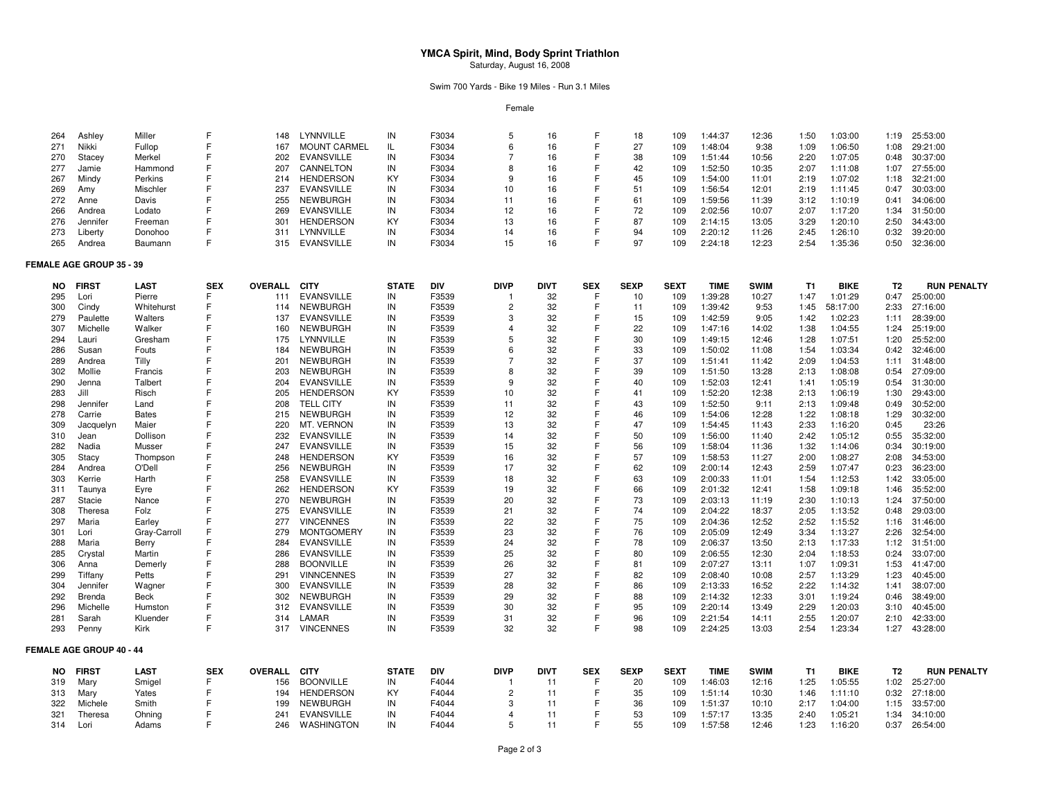# **YMCA Spirit, Mind, Body Sprint Triathlon** Saturday, August 16, 2008

## Swim 700 Yards - Bike 19 Miles - Run 3.1 Miles

Female

| 264       | Ashley                          | Miller       | F          | 148                 | LYNNVILLE           | IN           | F3034      | 5              | 16          | F          | 18          | 109         | 1:44:37     | 12:36       | 1:50      | 1:03:00     | 1:19           | 25:53:00           |
|-----------|---------------------------------|--------------|------------|---------------------|---------------------|--------------|------------|----------------|-------------|------------|-------------|-------------|-------------|-------------|-----------|-------------|----------------|--------------------|
| 271       | Nikki                           | Fullop       |            | 167                 | <b>MOUNT CARMEL</b> | IL           | F3034      | 6              | 16          |            | 27          | 109         | 1:48:04     | 9:38        | 1:09      | 1:06:50     | 1:08           | 29:21:00           |
| 270       | Stacey                          | Merkel       | F          | 202                 | <b>EVANSVILLE</b>   | IN           | F3034      | $\overline{7}$ | 16          |            | 38          | 109         | 1:51:44     | 10:56       | 2:20      | 1:07:05     | 0:48           | 30:37:00           |
| 277       | Jamie                           | Hammond      | F          | 207                 | CANNELTON           | IN           | F3034      | 8              | 16          |            | 42          | 109         | 1:52:50     | 10:35       | 2:07      | 1:11:08     | 1:07           | 27:55:00           |
| 267       | Mindy                           | Perkins      | F          | 214                 | <b>HENDERSON</b>    | KY           | F3034      | 9              | 16          |            | 45          | 109         | 1:54:00     | 11:01       | 2:19      | 1:07:02     | 1:18           | 32:21:00           |
| 269       | Amy                             | Mischler     | E          | 237                 | <b>EVANSVILLE</b>   | IN           | F3034      | 10             | 16          |            | 51          | 109         | 1:56:54     | 12:01       | 2:19      | 1:11:45     | 0:47           | 30:03:00           |
| 272       | Anne                            | Davis        | F          | 255                 | <b>NEWBURGH</b>     | IN           | F3034      | 11             | 16          |            | 61          | 109         | 1:59:56     | 11:39       | 3:12      | 1:10:19     | 0:41           | 34:06:00           |
| 266       | Andrea                          | Lodato       | F          | 269                 | <b>EVANSVILLE</b>   | IN           | F3034      | 12             | 16          |            | 72          | 109         | 2:02:56     | 10:07       | 2:07      | 1:17:20     | 1:34           | 31:50:00           |
| 276       | Jennifer                        | Freeman      | F          | 301                 | <b>HENDERSON</b>    | KY           | F3034      | 13             | 16          |            | 87          | 109         | 2:14:15     | 13:05       | 3:29      | 1:20:10     | 2:50           | 34:43:00           |
| 273       | Liberty                         | Donohoo      | F          | 311                 | LYNNVILLE           | IN           | F3034      | 14             | 16          |            | 94          | 109         | 2:20:12     | 11:26       | 2:45      | 1:26:10     | 0:32           | 39:20:00           |
| 265       | Andrea                          | Baumann      | E          | 315                 | EVANSVILLE          | IN           | F3034      | 15             | 16          |            | 97          | 109         | 2:24:18     | 12:23       | 2:54      | 1:35:36     | 0:50           | 32:36:00           |
|           | <b>FEMALE AGE GROUP 35 - 39</b> |              |            |                     |                     |              |            |                |             |            |             |             |             |             |           |             |                |                    |
| <b>NO</b> | <b>FIRST</b>                    | <b>LAST</b>  | <b>SEX</b> | <b>OVERALL</b>      | <b>CITY</b>         | <b>STATE</b> | DIV        | <b>DIVP</b>    | <b>DIVT</b> | <b>SEX</b> | <b>SEXP</b> | <b>SEXT</b> | <b>TIME</b> | <b>SWIM</b> | <b>T1</b> | <b>BIKE</b> | T <sub>2</sub> | <b>RUN PENALTY</b> |
| 295       | Lori                            | Pierre       | F          | 111                 | <b>EVANSVILLE</b>   | IN           | F3539      | $\mathbf{1}$   | 32          | F          | 10          | 109         | 1:39:28     | 10:27       | 1:47      | 1:01:29     | 0:47           | 25:00:00           |
| 300       | Cindy                           | Whitehurst   | F          | 114                 | <b>NEWBURGH</b>     | IN           | F3539      | $\overline{2}$ | 32          |            | 11          | 109         | 1:39:42     | 9:53        | 1:45      | 58:17:00    | 2:33           | 27:16:00           |
| 279       | Paulette                        | Walters      | F          | 137                 | <b>EVANSVILLE</b>   | IN           | F3539      | 3              | 32          |            | 15          | 109         | 1:42:59     | 9:05        | 1:42      | 1:02:23     | 1:11           | 28:39:00           |
| 307       | Michelle                        | Walker       | F          | 160                 | <b>NEWBURGH</b>     | IN           | F3539      | $\overline{4}$ | 32          |            | 22          | 109         | 1:47:16     | 14:02       | 1:38      | 1:04:55     | 1:24           | 25:19:00           |
| 294       | Lauri                           | Gresham      | F          | 175                 | LYNNVILLE           | IN           | F3539      | 5              | 32          |            | 30          | 109         | 1:49:15     | 12:46       | 1:28      | 1:07:51     | 1:20           | 25:52:00           |
| 286       |                                 | Fouts        | F          | 184                 | NEWBURGH            | IN           | F3539      | 6              | 32          |            | 33          | 109         | 1:50:02     | 11:08       | 1:54      | 1:03:34     | 0:42           | 32:46:00           |
|           | Susan                           |              | F          |                     |                     |              |            | $\overline{7}$ |             |            |             |             |             |             |           |             |                |                    |
| 289       | Andrea                          | <b>Tilly</b> | F          | 201                 | <b>NEWBURGH</b>     | IN           | F3539      | 8              | 32<br>32    |            | 37          | 109         | 1:51:41     | 11:42       | 2:09      | 1:04:53     | 1:11           | 31:48:00           |
| 302       | Mollie                          | Francis      | F          | 203                 | <b>NEWBURGH</b>     | IN           | F3539      | 9              |             |            | 39          | 109         | 1:51:50     | 13:28       | 2:13      | 1:08:08     | 0:54           | 27:09:00           |
| 290       | Jenna                           | Talbert      | E          | 204                 | <b>EVANSVILLE</b>   | IN           | F3539      |                | 32          |            | 40          | 109         | 1:52:03     | 12:41       | 1:41      | 1:05:19     | 0:54           | 31:30:00           |
| 283       | Jill                            | Risch        |            | 205                 | <b>HENDERSON</b>    | KY           | F3539      | 10             | 32          |            | 41          | 109         | 1:52:20     | 12:38       | 2:13      | 1:06:19     | 1:30           | 29:43:00           |
| 298       | Jennifer                        | Land         |            | 208                 | <b>TELL CITY</b>    | IN           | F3539      | 11             | 32          |            | 43          | 109         | 1:52:50     | 9:11        | 2:13      | 1:09:48     | 0:49           | 30:52:00           |
| 278       | Carrie                          | <b>Bates</b> | F          | 215                 | <b>NEWBURGH</b>     | IN           | F3539      | 12             | 32          |            | 46          | 109         | 1:54:06     | 12:28       | 1:22      | 1:08:18     | 1:29           | 30:32:00           |
| 309       | Jacquelyn                       | Maier        | F          | 220                 | MT. VERNON          | IN           | F3539      | 13             | 32          |            | 47          | 109         | 1:54:45     | 11:43       | 2:33      | 1:16:20     | 0:45           | 23:26              |
| 310       | Jean                            | Dollison     | F          | 232                 | <b>EVANSVILLE</b>   | IN           | F3539      | 14             | 32          |            | 50          | 109         | 1:56:00     | 11:40       | 2:42      | 1:05:12     | 0:55           | 35:32:00           |
| 282       | Nadia                           | Musser       | F          | 247                 | <b>EVANSVILLE</b>   | IN           | F3539      | 15             | 32          |            | 56          | 109         | 1:58:04     | 11:36       | 1:32      | 1:14:06     | 0:34           | 30:19:00           |
| 305       | Stacy                           | Thompson     | F          | 248                 | <b>HENDERSON</b>    | KY           | F3539      | 16             | 32          |            | 57          | 109         | 1:58:53     | 11:27       | 2:00      | 1:08:27     | 2:08           | 34:53:00           |
| 284       | Andrea                          | O'Dell       | F          | 256                 | <b>NEWBURGH</b>     | IN           | F3539      | 17             | 32          |            | 62          | 109         | 2:00:14     | 12:43       | 2:59      | 1:07:47     | 0:23           | 36:23:00           |
| 303       | Kerrie                          | Harth        | F          | 258                 | <b>EVANSVILLE</b>   | IN           | F3539      | 18             | 32          |            | 63          | 109         | 2:00:33     | 11:01       | 1:54      | 1:12:53     | 1:42           | 33:05:00           |
| 311       | Taunya                          | Eyre         | F          | 262                 | <b>HENDERSON</b>    | KY           | F3539      | 19             | 32          |            | 66          | 109         | 2:01:32     | 12:41       | 1:58      | 1:09:18     | 1:46           | 35:52:00           |
| 287       | Stacie                          | Nance        | F          | 270                 | <b>NEWBURGH</b>     | IN           | F3539      | 20             | 32          |            | 73          | 109         | 2:03:13     | 11:19       | 2:30      | 1:10:13     | 1:24           | 37:50:00           |
| 308       | Theresa                         | Folz         |            | 275                 | <b>EVANSVILLE</b>   | IN           | F3539      | 21             | 32          |            | 74          | 109         | 2:04:22     | 18:37       | 2:05      | 1:13:52     | 0:48           | 29:03:00           |
| 297       | Maria                           | Earley       | F          | 277                 | <b>VINCENNES</b>    | IN           | F3539      | 22             | 32          |            | 75          | 109         | 2:04:36     | 12:52       | 2:52      | 1:15:52     | 1:16           | 31:46:00           |
| 301       | Lori                            | Gray-Carroll | F          | 279                 | <b>MONTGOMERY</b>   | IN           | F3539      | 23             | 32          |            | 76          | 109         | 2:05:09     | 12:49       | 3:34      | 1:13:27     | 2:26           | 32:54:00           |
| 288       | Maria                           | Berry        |            | 284                 | <b>EVANSVILLE</b>   | IN           | F3539      | 24             | 32          |            | 78          | 109         | 2:06:37     | 13:50       | 2:13      | 1:17:33     | 1:12           | 31:51:00           |
| 285       | Crystal                         | Martin       | E          | 286                 | <b>EVANSVILLE</b>   | IN           | F3539      | 25             | 32          |            | 80          | 109         | 2:06:55     | 12:30       | 2:04      | 1:18:53     | 0:24           | 33:07:00           |
| 306       | Anna                            | Demerly      | F          | 288                 | <b>BOONVILLE</b>    | IN           | F3539      | 26             | 32          |            | 81          | 109         | 2:07:27     | 13:11       | 1:07      | 1:09:31     | 1:53           | 41:47:00           |
| 299       | Tiffany                         | Petts        | E          | 291                 | <b>VINNCENNES</b>   | IN           | F3539      | 27             | 32          |            | 82          | 109         | 2:08:40     | 10:08       | 2:57      | 1:13:29     | 1:23           | 40:45:00           |
| 304       | Jennifer                        | Wagner       | F          | 300                 | <b>EVANSVILLE</b>   | IN           | F3539      | 28             | 32          |            | 86          | 109         | 2:13:33     | 16:52       | 2:22      | 1:14:32     | 1:41           | 38:07:00           |
| 292       | Brenda                          | Beck         | F          | 302                 | <b>NEWBURGH</b>     | IN           | F3539      | 29             | 32          |            | 88          | 109         | 2:14:32     | 12:33       | 3:01      | 1:19:24     | 0:46           | 38:49:00           |
| 296       | Michelle                        | Humston      | F          | 312                 | <b>EVANSVILLE</b>   | IN           | F3539      | 30             | 32          |            | 95          | 109         | 2:20:14     | 13:49       | 2:29      | 1:20:03     | 3:10           | 40:45:00           |
| 281       | Sarah                           | Kluender     | F          | 314                 | LAMAR               | IN           | F3539      | 31             | 32          | F          | 96          | 109         | 2:21:54     | 14:11       | 2:55      | 1:20:07     | 2:10           | 42:33:00           |
| 293       | Penny                           | Kirk         | F          | 317                 | <b>VINCENNES</b>    | IN           | F3539      | 32             | 32          | F          | 98          | 109         | 2:24:25     | 13:03       | 2:54      | 1:23:34     | 1:27           | 43:28:00           |
|           | FEMALE AGE GROUP 40 - 44        |              |            |                     |                     |              |            |                |             |            |             |             |             |             |           |             |                |                    |
| NO.       | <b>FIRST</b>                    | <b>LAST</b>  | <b>SEX</b> | <b>OVERALL CITY</b> |                     | <b>STATE</b> | <b>DIV</b> | <b>DIVP</b>    | <b>DIVT</b> | <b>SEX</b> | <b>SEXP</b> | <b>SEXT</b> | <b>TIME</b> | <b>SWIM</b> | T1        | <b>BIKE</b> | T <sub>2</sub> | <b>RUN PENALTY</b> |
| 319       | Mary                            | Smigel       | F          | 156                 | <b>BOONVILLE</b>    | IN           | F4044      | -1             | 11          | F          | 20          | 109         | 1:46:03     | 12:16       | 1:25      | 1:05:55     | 1:02           | 25:27:00           |
| 313       | Mary                            | Yates        | F          | 194                 | <b>HENDERSON</b>    | KY           | F4044      | $\overline{c}$ | 11          |            | 35          | 109         | 1:51:14     | 10:30       | 1:46      | 1:11:10     | 0:32           | 27:18:00           |
| 322       | Michele                         | Smith        |            | 199                 | <b>NEWBURGH</b>     | IN           | F4044      | 3              | 11          |            | 36          | 109         | 1:51:37     | 10:10       | 2:17      | 1:04:00     | 1:15           | 33:57:00           |
| 321       | Theresa                         | Ohning       |            | 241                 | <b>EVANSVILLE</b>   | IN           | F4044      | $\overline{4}$ | 11          |            | 53          | 109         | 1:57:17     | 13:35       | 2:40      | 1:05:21     | 1:34           | 34:10:00           |
| 314       | Lori                            | Adams        |            | 246                 | WASHINGTON          | IN           | F4044      | 5              | 11          |            | 55          | 109         | 1:57:58     | 12:46       | 1:23      | 1:16:20     | 0:37           | 26:54:00           |
|           |                                 |              |            |                     |                     |              |            |                |             |            |             |             |             |             |           |             |                |                    |